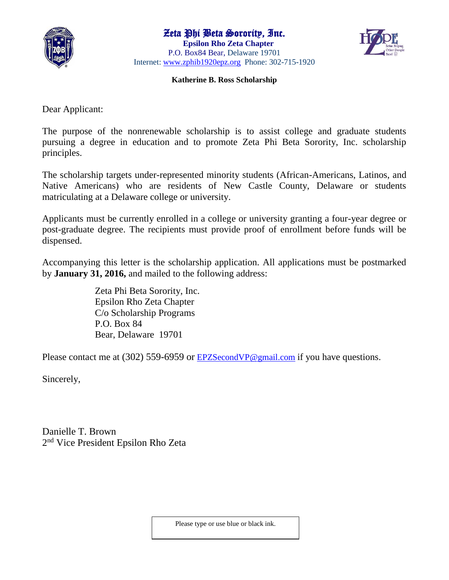

## Zeta Phi Beta Sorority, Inc.

 **Epsilon Rho Zeta Chapter**  P.O. Box84 Bear, Delaware 19701 Internet: [www.zphib1920epz.org](http://www.zphib1920epz.org/) Phone: 302-715-1920



## **Katherine B. Ross Scholarship**

Dear Applicant:

The purpose of the nonrenewable scholarship is to assist college and graduate students pursuing a degree in education and to promote Zeta Phi Beta Sorority, Inc. scholarship principles.

The scholarship targets under-represented minority students (African-Americans, Latinos, and Native Americans) who are residents of New Castle County, Delaware or students matriculating at a Delaware college or university.

Applicants must be currently enrolled in a college or university granting a four-year degree or post-graduate degree. The recipients must provide proof of enrollment before funds will be dispensed.

Accompanying this letter is the scholarship application. All applications must be postmarked by **January 31, 2016,** and mailed to the following address:

> Zeta Phi Beta Sorority, Inc. Epsilon Rho Zeta Chapter C/o Scholarship Programs P.O. Box 84 Bear, Delaware 19701

Please contact me at (302) 559-6959 or **[EPZSecondVP@gmail.com](mailto:EPZSecondVP@gmail.com)** if you have questions.

Sincerely,

Danielle T. Brown 2 nd Vice President Epsilon Rho Zeta

Please type or use blue or black ink.